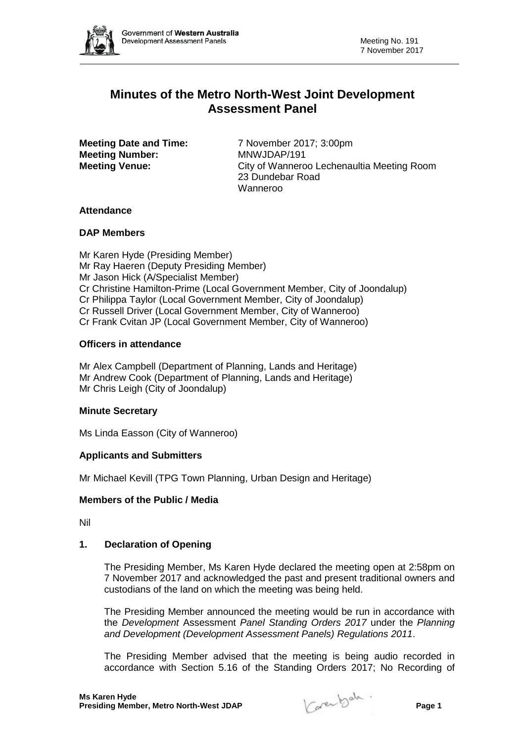

# **Minutes of the Metro North-West Joint Development Assessment Panel**

**Meeting Number:** 

**Meeting Date and Time:** 7 November 2017; 3:00pm<br>**Meeting Number:** MNWJDAP/191 **Meeting Venue:** City of Wanneroo Lechenaultia Meeting Room 23 Dundebar Road Wanneroo

## **Attendance**

## **DAP Members**

Mr Karen Hyde (Presiding Member) Mr Ray Haeren (Deputy Presiding Member) Mr Jason Hick (A/Specialist Member) Cr Christine Hamilton-Prime (Local Government Member, City of Joondalup) Cr Philippa Taylor (Local Government Member, City of Joondalup) Cr Russell Driver (Local Government Member, City of Wanneroo) Cr Frank Cvitan JP (Local Government Member, City of Wanneroo)

## **Officers in attendance**

Mr Alex Campbell (Department of Planning, Lands and Heritage) Mr Andrew Cook (Department of Planning, Lands and Heritage) Mr Chris Leigh (City of Joondalup)

## **Minute Secretary**

Ms Linda Easson (City of Wanneroo)

## **Applicants and Submitters**

Mr Michael Kevill (TPG Town Planning, Urban Design and Heritage)

## **Members of the Public / Media**

Nil

## **1. Declaration of Opening**

The Presiding Member, Ms Karen Hyde declared the meeting open at 2:58pm on 7 November 2017 and acknowledged the past and present traditional owners and custodians of the land on which the meeting was being held.

The Presiding Member announced the meeting would be run in accordance with the *Development* Assessment *Panel Standing Orders 2017* under the *Planning and Development (Development Assessment Panels) Regulations 2011*.

The Presiding Member advised that the meeting is being audio recorded in accordance with Section 5.16 of the Standing Orders 2017; No Recording of

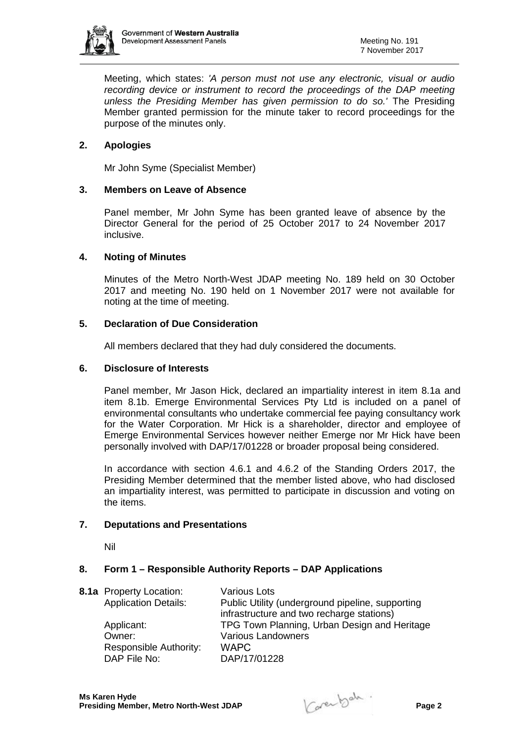

Meeting, which states: *'A person must not use any electronic, visual or audio recording device or instrument to record the proceedings of the DAP meeting unless the Presiding Member has given permission to do so.'* The Presiding Member granted permission for the minute taker to record proceedings for the purpose of the minutes only.

# **2. Apologies**

Mr John Syme (Specialist Member)

## **3. Members on Leave of Absence**

Panel member, Mr John Syme has been granted leave of absence by the Director General for the period of 25 October 2017 to 24 November 2017 inclusive.

## **4. Noting of Minutes**

Minutes of the Metro North-West JDAP meeting No. 189 held on 30 October 2017 and meeting No. 190 held on 1 November 2017 were not available for noting at the time of meeting.

## **5. Declaration of Due Consideration**

All members declared that they had duly considered the documents.

## **6. Disclosure of Interests**

Panel member, Mr Jason Hick, declared an impartiality interest in item 8.1a and item 8.1b. Emerge Environmental Services Pty Ltd is included on a panel of environmental consultants who undertake commercial fee paying consultancy work for the Water Corporation. Mr Hick is a shareholder, director and employee of Emerge Environmental Services however neither Emerge nor Mr Hick have been personally involved with DAP/17/01228 or broader proposal being considered.

In accordance with section 4.6.1 and 4.6.2 of the Standing Orders 2017, the Presiding Member determined that the member listed above, who had disclosed an impartiality interest, was permitted to participate in discussion and voting on the items.

## **7. Deputations and Presentations**

Nil

#### **8. Form 1 – Responsible Authority Reports – DAP Applications**

|  | <b>8.1a</b> Property Location: | <b>Various Lots</b>                              |
|--|--------------------------------|--------------------------------------------------|
|  | <b>Application Details:</b>    | Public Utility (underground pipeline, supporting |
|  |                                | infrastructure and two recharge stations)        |
|  | Applicant:                     | TPG Town Planning, Urban Design and Heritage     |
|  | Owner:                         | <b>Various Landowners</b>                        |
|  | Responsible Authority:         | <b>WAPC</b>                                      |
|  | DAP File No:                   | DAP/17/01228                                     |

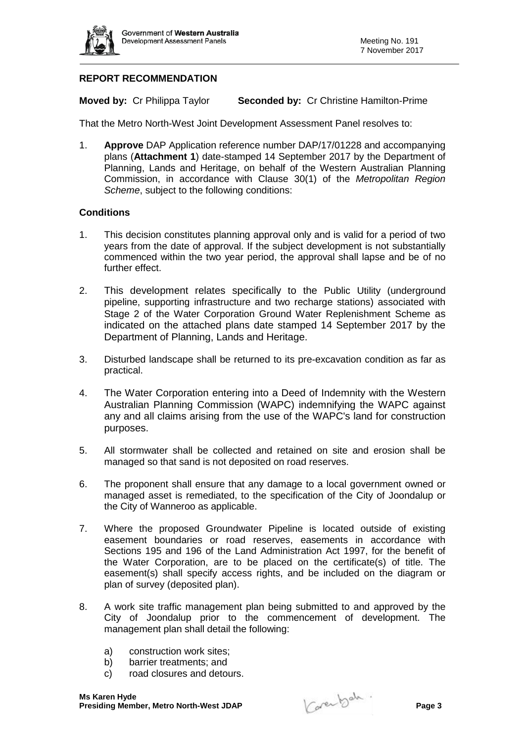

# **REPORT RECOMMENDATION**

**Moved by:** Cr Philippa Taylor **Seconded by:** Cr Christine Hamilton-Prime

That the Metro North-West Joint Development Assessment Panel resolves to:

1. **Approve** DAP Application reference number DAP/17/01228 and accompanying plans (**Attachment 1**) date-stamped 14 September 2017 by the Department of Planning, Lands and Heritage, on behalf of the Western Australian Planning Commission, in accordance with Clause 30(1) of the *Metropolitan Region Scheme*, subject to the following conditions:

- 1. This decision constitutes planning approval only and is valid for a period of two years from the date of approval. If the subject development is not substantially commenced within the two year period, the approval shall lapse and be of no further effect.
- 2. This development relates specifically to the Public Utility (underground pipeline, supporting infrastructure and two recharge stations) associated with Stage 2 of the Water Corporation Ground Water Replenishment Scheme as indicated on the attached plans date stamped 14 September 2017 by the Department of Planning, Lands and Heritage.
- 3. Disturbed landscape shall be returned to its pre-excavation condition as far as practical.
- 4. The Water Corporation entering into a Deed of Indemnity with the Western Australian Planning Commission (WAPC) indemnifying the WAPC against any and all claims arising from the use of the WAPC's land for construction purposes.
- 5. All stormwater shall be collected and retained on site and erosion shall be managed so that sand is not deposited on road reserves.
- 6. The proponent shall ensure that any damage to a local government owned or managed asset is remediated, to the specification of the City of Joondalup or the City of Wanneroo as applicable.
- 7. Where the proposed Groundwater Pipeline is located outside of existing easement boundaries or road reserves, easements in accordance with Sections 195 and 196 of the Land Administration Act 1997, for the benefit of the Water Corporation, are to be placed on the certificate(s) of title. The easement(s) shall specify access rights, and be included on the diagram or plan of survey (deposited plan).
- 8. A work site traffic management plan being submitted to and approved by the City of Joondalup prior to the commencement of development. The management plan shall detail the following:
	- a) construction work sites;
	- b) barrier treatments; and
	- c) road closures and detours.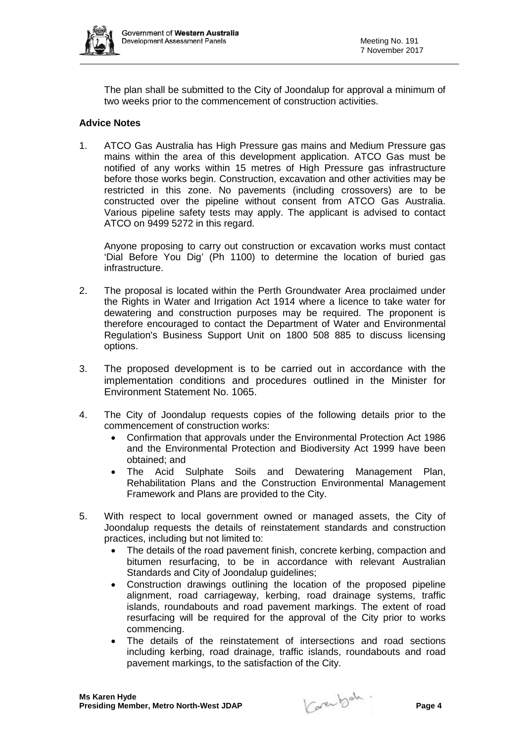

The plan shall be submitted to the City of Joondalup for approval a minimum of two weeks prior to the commencement of construction activities.

## **Advice Notes**

1. ATCO Gas Australia has High Pressure gas mains and Medium Pressure gas mains within the area of this development application. ATCO Gas must be notified of any works within 15 metres of High Pressure gas infrastructure before those works begin. Construction, excavation and other activities may be restricted in this zone. No pavements (including crossovers) are to be constructed over the pipeline without consent from ATCO Gas Australia. Various pipeline safety tests may apply. The applicant is advised to contact ATCO on 9499 5272 in this regard.

Anyone proposing to carry out construction or excavation works must contact 'Dial Before You Dig' (Ph 1100) to determine the location of buried gas infrastructure.

- 2. The proposal is located within the Perth Groundwater Area proclaimed under the Rights in Water and Irrigation Act 1914 where a licence to take water for dewatering and construction purposes may be required. The proponent is therefore encouraged to contact the Department of Water and Environmental Regulation's Business Support Unit on 1800 508 885 to discuss licensing options.
- 3. The proposed development is to be carried out in accordance with the implementation conditions and procedures outlined in the Minister for Environment Statement No. 1065.
- 4. The City of Joondalup requests copies of the following details prior to the commencement of construction works:
	- Confirmation that approvals under the Environmental Protection Act 1986 and the Environmental Protection and Biodiversity Act 1999 have been obtained; and
	- The Acid Sulphate Soils and Dewatering Management Plan, Rehabilitation Plans and the Construction Environmental Management Framework and Plans are provided to the City.
- 5. With respect to local government owned or managed assets, the City of Joondalup requests the details of reinstatement standards and construction practices, including but not limited to:
	- The details of the road pavement finish, concrete kerbing, compaction and bitumen resurfacing, to be in accordance with relevant Australian Standards and City of Joondalup guidelines;
	- Construction drawings outlining the location of the proposed pipeline alignment, road carriageway, kerbing, road drainage systems, traffic islands, roundabouts and road pavement markings. The extent of road resurfacing will be required for the approval of the City prior to works commencing.
	- The details of the reinstatement of intersections and road sections including kerbing, road drainage, traffic islands, roundabouts and road pavement markings, to the satisfaction of the City.

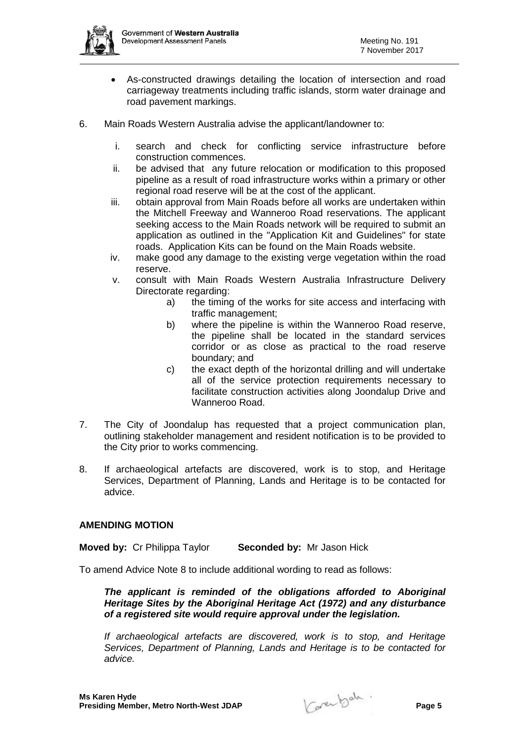

- As-constructed drawings detailing the location of intersection and road carriageway treatments including traffic islands, storm water drainage and road pavement markings.
- 6. Main Roads Western Australia advise the applicant/landowner to:
	- i. search and check for conflicting service infrastructure before construction commences.
	- ii. be advised that any future relocation or modification to this proposed pipeline as a result of road infrastructure works within a primary or other regional road reserve will be at the cost of the applicant.
	- iii. obtain approval from Main Roads before all works are undertaken within the Mitchell Freeway and Wanneroo Road reservations. The applicant seeking access to the Main Roads network will be required to submit an application as outlined in the "Application Kit and Guidelines" for state roads. Application Kits can be found on the Main Roads website.
	- iv. make good any damage to the existing verge vegetation within the road reserve.
	- v. consult with Main Roads Western Australia Infrastructure Delivery Directorate regarding:
		- a) the timing of the works for site access and interfacing with traffic management;
		- b) where the pipeline is within the Wanneroo Road reserve, the pipeline shall be located in the standard services corridor or as close as practical to the road reserve boundary; and
		- c) the exact depth of the horizontal drilling and will undertake all of the service protection requirements necessary to facilitate construction activities along Joondalup Drive and Wanneroo Road.
- 7. The City of Joondalup has requested that a project communication plan, outlining stakeholder management and resident notification is to be provided to the City prior to works commencing.
- 8. If archaeological artefacts are discovered, work is to stop, and Heritage Services, Department of Planning, Lands and Heritage is to be contacted for advice.

## **AMENDING MOTION**

**Moved by:** Cr Philippa Taylor **Seconded by:** Mr Jason Hick

To amend Advice Note 8 to include additional wording to read as follows:

*The applicant is reminded of the obligations afforded to Aboriginal Heritage Sites by the Aboriginal Heritage Act (1972) and any disturbance of a registered site would require approval under the legislation.* 

*If archaeological artefacts are discovered, work is to stop, and Heritage Services, Department of Planning, Lands and Heritage is to be contacted for advice.*

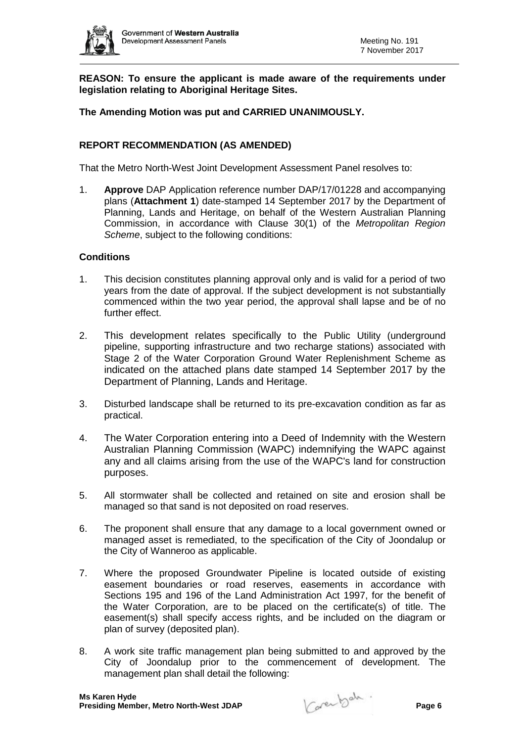

**REASON: To ensure the applicant is made aware of the requirements under legislation relating to Aboriginal Heritage Sites.**

**The Amending Motion was put and CARRIED UNANIMOUSLY.** 

## **REPORT RECOMMENDATION (AS AMENDED)**

That the Metro North-West Joint Development Assessment Panel resolves to:

1. **Approve** DAP Application reference number DAP/17/01228 and accompanying plans (**Attachment 1**) date-stamped 14 September 2017 by the Department of Planning, Lands and Heritage, on behalf of the Western Australian Planning Commission, in accordance with Clause 30(1) of the *Metropolitan Region Scheme*, subject to the following conditions:

- 1. This decision constitutes planning approval only and is valid for a period of two years from the date of approval. If the subject development is not substantially commenced within the two year period, the approval shall lapse and be of no further effect.
- 2. This development relates specifically to the Public Utility (underground pipeline, supporting infrastructure and two recharge stations) associated with Stage 2 of the Water Corporation Ground Water Replenishment Scheme as indicated on the attached plans date stamped 14 September 2017 by the Department of Planning, Lands and Heritage.
- 3. Disturbed landscape shall be returned to its pre-excavation condition as far as practical.
- 4. The Water Corporation entering into a Deed of Indemnity with the Western Australian Planning Commission (WAPC) indemnifying the WAPC against any and all claims arising from the use of the WAPC's land for construction purposes.
- 5. All stormwater shall be collected and retained on site and erosion shall be managed so that sand is not deposited on road reserves.
- 6. The proponent shall ensure that any damage to a local government owned or managed asset is remediated, to the specification of the City of Joondalup or the City of Wanneroo as applicable.
- 7. Where the proposed Groundwater Pipeline is located outside of existing easement boundaries or road reserves, easements in accordance with Sections 195 and 196 of the Land Administration Act 1997, for the benefit of the Water Corporation, are to be placed on the certificate(s) of title. The easement(s) shall specify access rights, and be included on the diagram or plan of survey (deposited plan).
- 8. A work site traffic management plan being submitted to and approved by the City of Joondalup prior to the commencement of development. The management plan shall detail the following:

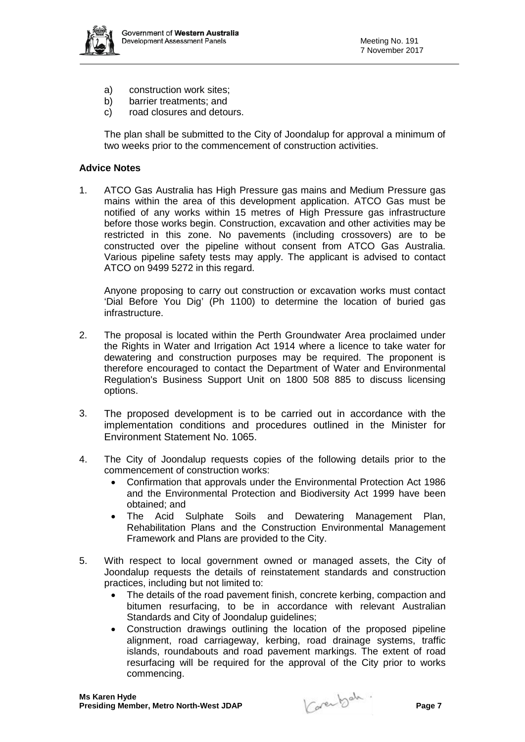

- a) construction work sites;
- b) barrier treatments; and
- c) road closures and detours.

The plan shall be submitted to the City of Joondalup for approval a minimum of two weeks prior to the commencement of construction activities.

## **Advice Notes**

1. ATCO Gas Australia has High Pressure gas mains and Medium Pressure gas mains within the area of this development application. ATCO Gas must be notified of any works within 15 metres of High Pressure gas infrastructure before those works begin. Construction, excavation and other activities may be restricted in this zone. No pavements (including crossovers) are to be constructed over the pipeline without consent from ATCO Gas Australia. Various pipeline safety tests may apply. The applicant is advised to contact ATCO on 9499 5272 in this regard.

Anyone proposing to carry out construction or excavation works must contact 'Dial Before You Dig' (Ph 1100) to determine the location of buried gas infrastructure.

- 2. The proposal is located within the Perth Groundwater Area proclaimed under the Rights in Water and Irrigation Act 1914 where a licence to take water for dewatering and construction purposes may be required. The proponent is therefore encouraged to contact the Department of Water and Environmental Regulation's Business Support Unit on 1800 508 885 to discuss licensing options.
- 3. The proposed development is to be carried out in accordance with the implementation conditions and procedures outlined in the Minister for Environment Statement No. 1065.
- 4. The City of Joondalup requests copies of the following details prior to the commencement of construction works:
	- Confirmation that approvals under the Environmental Protection Act 1986 and the Environmental Protection and Biodiversity Act 1999 have been obtained; and
	- The Acid Sulphate Soils and Dewatering Management Plan, Rehabilitation Plans and the Construction Environmental Management Framework and Plans are provided to the City.
- 5. With respect to local government owned or managed assets, the City of Joondalup requests the details of reinstatement standards and construction practices, including but not limited to:
	- The details of the road pavement finish, concrete kerbing, compaction and bitumen resurfacing, to be in accordance with relevant Australian Standards and City of Joondalup guidelines;
	- Construction drawings outlining the location of the proposed pipeline alignment, road carriageway, kerbing, road drainage systems, traffic islands, roundabouts and road pavement markings. The extent of road resurfacing will be required for the approval of the City prior to works commencing.

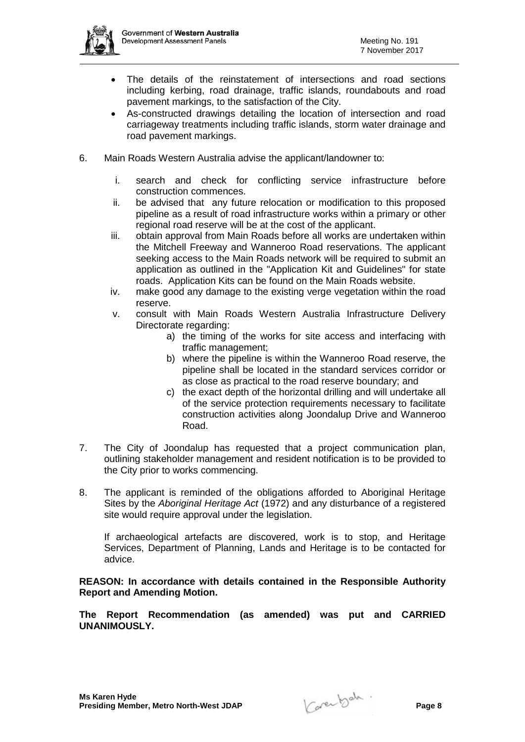

- The details of the reinstatement of intersections and road sections including kerbing, road drainage, traffic islands, roundabouts and road pavement markings, to the satisfaction of the City.
- As-constructed drawings detailing the location of intersection and road carriageway treatments including traffic islands, storm water drainage and road pavement markings.
- 6. Main Roads Western Australia advise the applicant/landowner to:
	- i. search and check for conflicting service infrastructure before construction commences.
	- ii. be advised that any future relocation or modification to this proposed pipeline as a result of road infrastructure works within a primary or other regional road reserve will be at the cost of the applicant.
	- iii. obtain approval from Main Roads before all works are undertaken within the Mitchell Freeway and Wanneroo Road reservations. The applicant seeking access to the Main Roads network will be required to submit an application as outlined in the "Application Kit and Guidelines" for state roads. Application Kits can be found on the Main Roads website.
	- iv. make good any damage to the existing verge vegetation within the road reserve.
	- v. consult with Main Roads Western Australia Infrastructure Delivery Directorate regarding:
		- a) the timing of the works for site access and interfacing with traffic management;
		- b) where the pipeline is within the Wanneroo Road reserve, the pipeline shall be located in the standard services corridor or as close as practical to the road reserve boundary; and
		- c) the exact depth of the horizontal drilling and will undertake all of the service protection requirements necessary to facilitate construction activities along Joondalup Drive and Wanneroo Road.
- 7. The City of Joondalup has requested that a project communication plan, outlining stakeholder management and resident notification is to be provided to the City prior to works commencing.
- 8. The applicant is reminded of the obligations afforded to Aboriginal Heritage Sites by the *Aboriginal Heritage Act* (1972) and any disturbance of a registered site would require approval under the legislation.

If archaeological artefacts are discovered, work is to stop, and Heritage Services, Department of Planning, Lands and Heritage is to be contacted for advice.

**REASON: In accordance with details contained in the Responsible Authority Report and Amending Motion.** 

**The Report Recommendation (as amended) was put and CARRIED UNANIMOUSLY.**

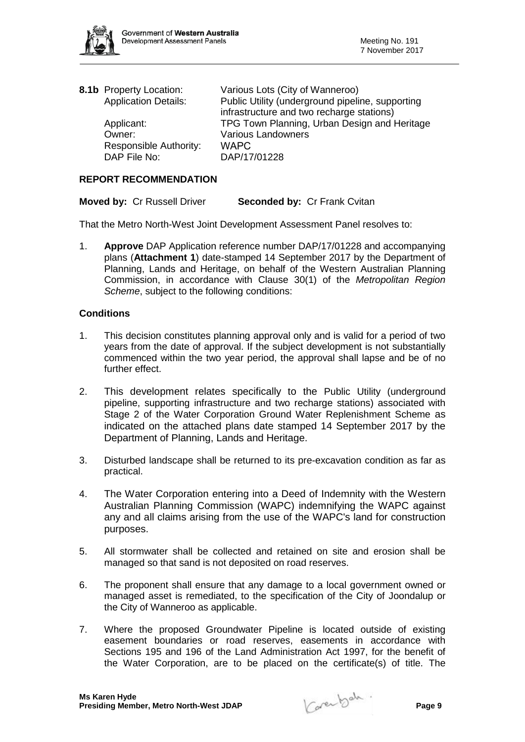

| 8.1b Property Location:     | Various Lots (City of Wanneroo)                  |
|-----------------------------|--------------------------------------------------|
| <b>Application Details:</b> | Public Utility (underground pipeline, supporting |
|                             | infrastructure and two recharge stations)        |
| Applicant:                  | TPG Town Planning, Urban Design and Heritage     |
| Owner:                      | <b>Various Landowners</b>                        |
| Responsible Authority:      | <b>WAPC</b>                                      |
| DAP File No:                | DAP/17/01228                                     |
|                             |                                                  |

## **REPORT RECOMMENDATION**

**Moved by:** Cr Russell Driver **Seconded by:** Cr Frank Cvitan

That the Metro North-West Joint Development Assessment Panel resolves to:

1. **Approve** DAP Application reference number DAP/17/01228 and accompanying plans (**Attachment 1**) date-stamped 14 September 2017 by the Department of Planning, Lands and Heritage, on behalf of the Western Australian Planning Commission, in accordance with Clause 30(1) of the *Metropolitan Region Scheme*, subject to the following conditions:

- 1. This decision constitutes planning approval only and is valid for a period of two years from the date of approval. If the subject development is not substantially commenced within the two year period, the approval shall lapse and be of no further effect.
- 2. This development relates specifically to the Public Utility (underground pipeline, supporting infrastructure and two recharge stations) associated with Stage 2 of the Water Corporation Ground Water Replenishment Scheme as indicated on the attached plans date stamped 14 September 2017 by the Department of Planning, Lands and Heritage.
- 3. Disturbed landscape shall be returned to its pre-excavation condition as far as practical.
- 4. The Water Corporation entering into a Deed of Indemnity with the Western Australian Planning Commission (WAPC) indemnifying the WAPC against any and all claims arising from the use of the WAPC's land for construction purposes.
- 5. All stormwater shall be collected and retained on site and erosion shall be managed so that sand is not deposited on road reserves.
- 6. The proponent shall ensure that any damage to a local government owned or managed asset is remediated, to the specification of the City of Joondalup or the City of Wanneroo as applicable.
- 7. Where the proposed Groundwater Pipeline is located outside of existing easement boundaries or road reserves, easements in accordance with Sections 195 and 196 of the Land Administration Act 1997, for the benefit of the Water Corporation, are to be placed on the certificate(s) of title. The

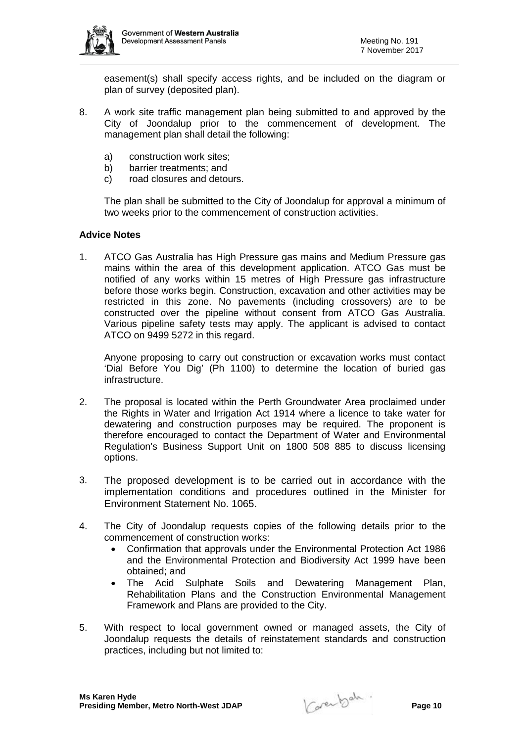

easement(s) shall specify access rights, and be included on the diagram or plan of survey (deposited plan).

- 8. A work site traffic management plan being submitted to and approved by the City of Joondalup prior to the commencement of development. The management plan shall detail the following:
	- a) construction work sites;
	- b) barrier treatments; and
	- c) road closures and detours.

The plan shall be submitted to the City of Joondalup for approval a minimum of two weeks prior to the commencement of construction activities.

## **Advice Notes**

1. ATCO Gas Australia has High Pressure gas mains and Medium Pressure gas mains within the area of this development application. ATCO Gas must be notified of any works within 15 metres of High Pressure gas infrastructure before those works begin. Construction, excavation and other activities may be restricted in this zone. No pavements (including crossovers) are to be constructed over the pipeline without consent from ATCO Gas Australia. Various pipeline safety tests may apply. The applicant is advised to contact ATCO on 9499 5272 in this regard.

Anyone proposing to carry out construction or excavation works must contact 'Dial Before You Dig' (Ph 1100) to determine the location of buried gas infrastructure.

- 2. The proposal is located within the Perth Groundwater Area proclaimed under the Rights in Water and Irrigation Act 1914 where a licence to take water for dewatering and construction purposes may be required. The proponent is therefore encouraged to contact the Department of Water and Environmental Regulation's Business Support Unit on 1800 508 885 to discuss licensing options.
- 3. The proposed development is to be carried out in accordance with the implementation conditions and procedures outlined in the Minister for Environment Statement No. 1065.
- 4. The City of Joondalup requests copies of the following details prior to the commencement of construction works:
	- Confirmation that approvals under the Environmental Protection Act 1986 and the Environmental Protection and Biodiversity Act 1999 have been obtained; and
	- The Acid Sulphate Soils and Dewatering Management Plan, Rehabilitation Plans and the Construction Environmental Management Framework and Plans are provided to the City.
- 5. With respect to local government owned or managed assets, the City of Joondalup requests the details of reinstatement standards and construction practices, including but not limited to:

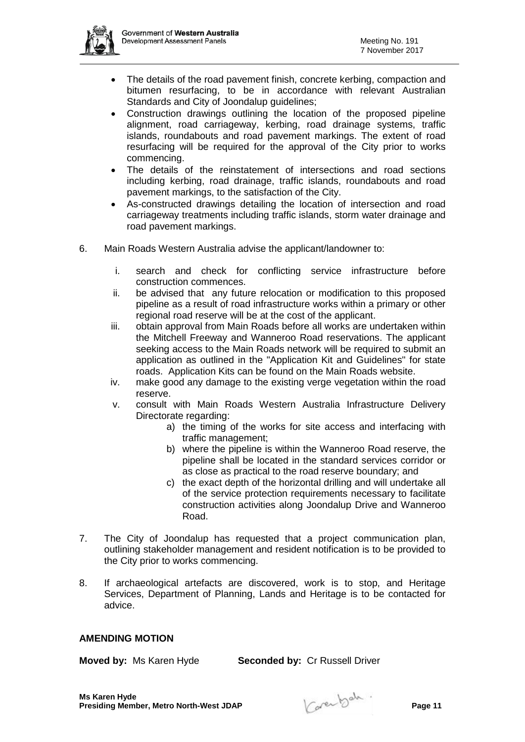

- The details of the road pavement finish, concrete kerbing, compaction and bitumen resurfacing, to be in accordance with relevant Australian Standards and City of Joondalup guidelines;
- Construction drawings outlining the location of the proposed pipeline alignment, road carriageway, kerbing, road drainage systems, traffic islands, roundabouts and road pavement markings. The extent of road resurfacing will be required for the approval of the City prior to works commencing.
- The details of the reinstatement of intersections and road sections including kerbing, road drainage, traffic islands, roundabouts and road pavement markings, to the satisfaction of the City.
- As-constructed drawings detailing the location of intersection and road carriageway treatments including traffic islands, storm water drainage and road pavement markings.
- 6. Main Roads Western Australia advise the applicant/landowner to:
	- i. search and check for conflicting service infrastructure before construction commences.
	- ii. be advised that any future relocation or modification to this proposed pipeline as a result of road infrastructure works within a primary or other regional road reserve will be at the cost of the applicant.
	- iii. obtain approval from Main Roads before all works are undertaken within the Mitchell Freeway and Wanneroo Road reservations. The applicant seeking access to the Main Roads network will be required to submit an application as outlined in the "Application Kit and Guidelines" for state roads. Application Kits can be found on the Main Roads website.
	- iv. make good any damage to the existing verge vegetation within the road reserve.
	- v. consult with Main Roads Western Australia Infrastructure Delivery Directorate regarding:
		- a) the timing of the works for site access and interfacing with traffic management;
		- b) where the pipeline is within the Wanneroo Road reserve, the pipeline shall be located in the standard services corridor or as close as practical to the road reserve boundary; and
		- c) the exact depth of the horizontal drilling and will undertake all of the service protection requirements necessary to facilitate construction activities along Joondalup Drive and Wanneroo Road.
- 7. The City of Joondalup has requested that a project communication plan, outlining stakeholder management and resident notification is to be provided to the City prior to works commencing.
- 8. If archaeological artefacts are discovered, work is to stop, and Heritage Services, Department of Planning, Lands and Heritage is to be contacted for advice.

## **AMENDING MOTION**

**Moved by:** Ms Karen Hyde **Seconded by:** Cr Russell Driver

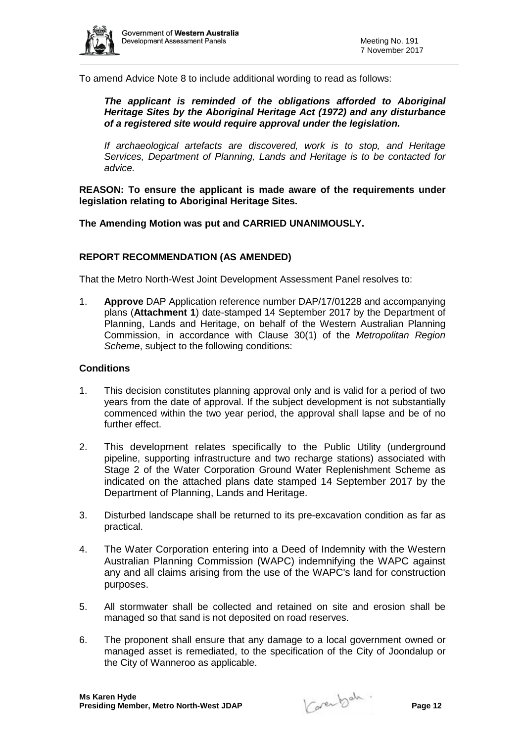

To amend Advice Note 8 to include additional wording to read as follows:

*The applicant is reminded of the obligations afforded to Aboriginal Heritage Sites by the Aboriginal Heritage Act (1972) and any disturbance of a registered site would require approval under the legislation.*

*If archaeological artefacts are discovered, work is to stop, and Heritage Services, Department of Planning, Lands and Heritage is to be contacted for advice.*

**REASON: To ensure the applicant is made aware of the requirements under legislation relating to Aboriginal Heritage Sites.**

**The Amending Motion was put and CARRIED UNANIMOUSLY.** 

## **REPORT RECOMMENDATION (AS AMENDED)**

That the Metro North-West Joint Development Assessment Panel resolves to:

1. **Approve** DAP Application reference number DAP/17/01228 and accompanying plans (**Attachment 1**) date-stamped 14 September 2017 by the Department of Planning, Lands and Heritage, on behalf of the Western Australian Planning Commission, in accordance with Clause 30(1) of the *Metropolitan Region Scheme*, subject to the following conditions:

- 1. This decision constitutes planning approval only and is valid for a period of two years from the date of approval. If the subject development is not substantially commenced within the two year period, the approval shall lapse and be of no further effect.
- 2. This development relates specifically to the Public Utility (underground pipeline, supporting infrastructure and two recharge stations) associated with Stage 2 of the Water Corporation Ground Water Replenishment Scheme as indicated on the attached plans date stamped 14 September 2017 by the Department of Planning, Lands and Heritage.
- 3. Disturbed landscape shall be returned to its pre-excavation condition as far as practical.
- 4. The Water Corporation entering into a Deed of Indemnity with the Western Australian Planning Commission (WAPC) indemnifying the WAPC against any and all claims arising from the use of the WAPC's land for construction purposes.
- 5. All stormwater shall be collected and retained on site and erosion shall be managed so that sand is not deposited on road reserves.
- 6. The proponent shall ensure that any damage to a local government owned or managed asset is remediated, to the specification of the City of Joondalup or the City of Wanneroo as applicable.

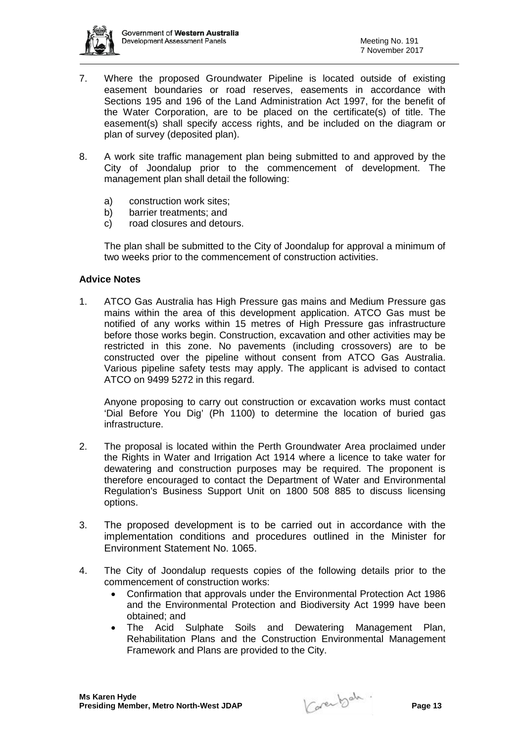

- 7. Where the proposed Groundwater Pipeline is located outside of existing easement boundaries or road reserves, easements in accordance with Sections 195 and 196 of the Land Administration Act 1997, for the benefit of the Water Corporation, are to be placed on the certificate(s) of title. The easement(s) shall specify access rights, and be included on the diagram or plan of survey (deposited plan).
- 8. A work site traffic management plan being submitted to and approved by the City of Joondalup prior to the commencement of development. The management plan shall detail the following:
	- a) construction work sites;
	- b) barrier treatments; and
	- c) road closures and detours.

The plan shall be submitted to the City of Joondalup for approval a minimum of two weeks prior to the commencement of construction activities.

## **Advice Notes**

1. ATCO Gas Australia has High Pressure gas mains and Medium Pressure gas mains within the area of this development application. ATCO Gas must be notified of any works within 15 metres of High Pressure gas infrastructure before those works begin. Construction, excavation and other activities may be restricted in this zone. No pavements (including crossovers) are to be constructed over the pipeline without consent from ATCO Gas Australia. Various pipeline safety tests may apply. The applicant is advised to contact ATCO on 9499 5272 in this regard.

Anyone proposing to carry out construction or excavation works must contact 'Dial Before You Dig' (Ph 1100) to determine the location of buried gas infrastructure.

- 2. The proposal is located within the Perth Groundwater Area proclaimed under the Rights in Water and Irrigation Act 1914 where a licence to take water for dewatering and construction purposes may be required. The proponent is therefore encouraged to contact the Department of Water and Environmental Regulation's Business Support Unit on 1800 508 885 to discuss licensing options.
- 3. The proposed development is to be carried out in accordance with the implementation conditions and procedures outlined in the Minister for Environment Statement No. 1065.
- 4. The City of Joondalup requests copies of the following details prior to the commencement of construction works:
	- Confirmation that approvals under the Environmental Protection Act 1986 and the Environmental Protection and Biodiversity Act 1999 have been obtained; and
	- The Acid Sulphate Soils and Dewatering Management Plan, Rehabilitation Plans and the Construction Environmental Management Framework and Plans are provided to the City.

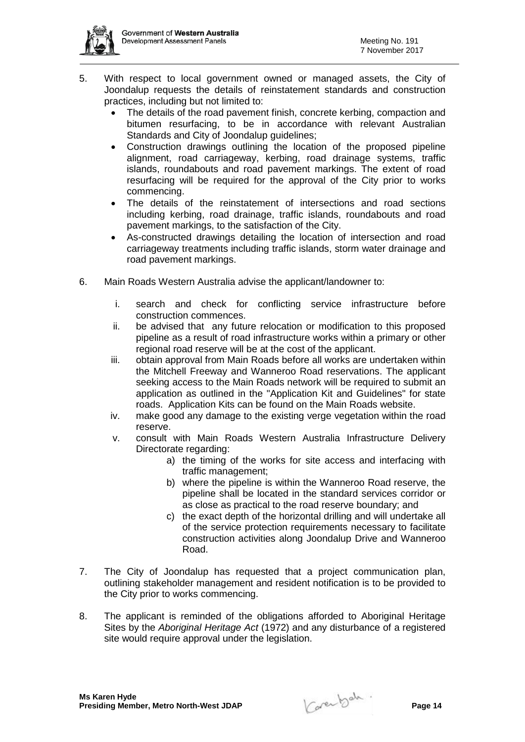

- 5. With respect to local government owned or managed assets, the City of Joondalup requests the details of reinstatement standards and construction practices, including but not limited to:
	- The details of the road pavement finish, concrete kerbing, compaction and bitumen resurfacing, to be in accordance with relevant Australian Standards and City of Joondalup guidelines;
	- Construction drawings outlining the location of the proposed pipeline alignment, road carriageway, kerbing, road drainage systems, traffic islands, roundabouts and road pavement markings. The extent of road resurfacing will be required for the approval of the City prior to works commencing.
	- The details of the reinstatement of intersections and road sections including kerbing, road drainage, traffic islands, roundabouts and road pavement markings, to the satisfaction of the City.
	- As-constructed drawings detailing the location of intersection and road carriageway treatments including traffic islands, storm water drainage and road pavement markings.
- 6. Main Roads Western Australia advise the applicant/landowner to:
	- i. search and check for conflicting service infrastructure before construction commences.
	- ii. be advised that any future relocation or modification to this proposed pipeline as a result of road infrastructure works within a primary or other regional road reserve will be at the cost of the applicant.
	- iii. obtain approval from Main Roads before all works are undertaken within the Mitchell Freeway and Wanneroo Road reservations. The applicant seeking access to the Main Roads network will be required to submit an application as outlined in the "Application Kit and Guidelines" for state roads. Application Kits can be found on the Main Roads website.
	- iv. make good any damage to the existing verge vegetation within the road reserve.
	- v. consult with Main Roads Western Australia Infrastructure Delivery Directorate regarding:
		- a) the timing of the works for site access and interfacing with traffic management;
		- b) where the pipeline is within the Wanneroo Road reserve, the pipeline shall be located in the standard services corridor or as close as practical to the road reserve boundary; and
		- c) the exact depth of the horizontal drilling and will undertake all of the service protection requirements necessary to facilitate construction activities along Joondalup Drive and Wanneroo Road.
- 7. The City of Joondalup has requested that a project communication plan, outlining stakeholder management and resident notification is to be provided to the City prior to works commencing.
- 8. The applicant is reminded of the obligations afforded to Aboriginal Heritage Sites by the *Aboriginal Heritage Act* (1972) and any disturbance of a registered site would require approval under the legislation.